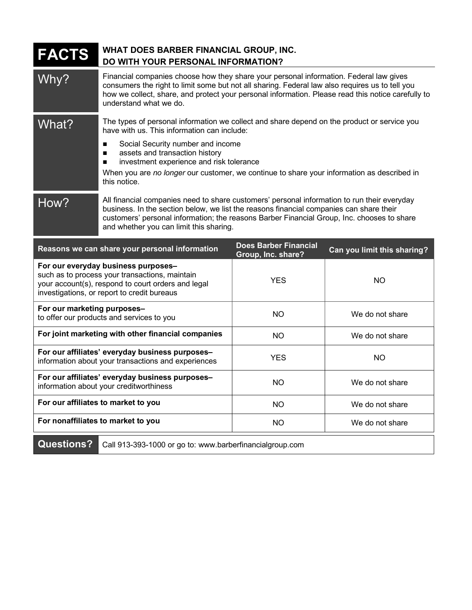| FACTS                                                                                                                                                                                      | WHAT DOES BARBER FINANCIAL GROUP, INC.<br>DO WITH YOUR PERSONAL INFORMATION?                                                                                                                                                                                                                                                    |                                                    |                             |
|--------------------------------------------------------------------------------------------------------------------------------------------------------------------------------------------|---------------------------------------------------------------------------------------------------------------------------------------------------------------------------------------------------------------------------------------------------------------------------------------------------------------------------------|----------------------------------------------------|-----------------------------|
| Why?                                                                                                                                                                                       | Financial companies choose how they share your personal information. Federal law gives<br>consumers the right to limit some but not all sharing. Federal law also requires us to tell you<br>how we collect, share, and protect your personal information. Please read this notice carefully to<br>understand what we do.       |                                                    |                             |
| What?                                                                                                                                                                                      | The types of personal information we collect and share depend on the product or service you<br>have with us. This information can include:                                                                                                                                                                                      |                                                    |                             |
|                                                                                                                                                                                            | Social Security number and income<br>п<br>assets and transaction history<br>п<br>investment experience and risk tolerance<br>п<br>When you are no longer our customer, we continue to share your information as described in<br>this notice.                                                                                    |                                                    |                             |
| How?                                                                                                                                                                                       | All financial companies need to share customers' personal information to run their everyday<br>business. In the section below, we list the reasons financial companies can share their<br>customers' personal information; the reasons Barber Financial Group, Inc. chooses to share<br>and whether you can limit this sharing. |                                                    |                             |
| Reasons we can share your personal information                                                                                                                                             |                                                                                                                                                                                                                                                                                                                                 | <b>Does Barber Financial</b><br>Group, Inc. share? | Can you limit this sharing? |
| For our everyday business purposes-<br>such as to process your transactions, maintain<br>your account(s), respond to court orders and legal<br>investigations, or report to credit bureaus |                                                                                                                                                                                                                                                                                                                                 | <b>YES</b>                                         | <b>NO</b>                   |
| For our marketing purposes-<br>to offer our products and services to you                                                                                                                   |                                                                                                                                                                                                                                                                                                                                 | <b>NO</b>                                          | We do not share             |
| For joint marketing with other financial companies                                                                                                                                         |                                                                                                                                                                                                                                                                                                                                 | <b>NO</b>                                          | We do not share             |
| For our affiliates' everyday business purposes-<br>information about your transactions and experiences                                                                                     |                                                                                                                                                                                                                                                                                                                                 | <b>YES</b>                                         | <b>NO</b>                   |
| For our affiliates' everyday business purposes-<br>information about your creditworthiness                                                                                                 |                                                                                                                                                                                                                                                                                                                                 | <b>NO</b>                                          | We do not share             |
| For our affiliates to market to you                                                                                                                                                        |                                                                                                                                                                                                                                                                                                                                 | <b>NO</b>                                          | We do not share             |
| For nonaffiliates to market to you                                                                                                                                                         |                                                                                                                                                                                                                                                                                                                                 | <b>NO</b>                                          | We do not share             |
| <b>Questions?</b><br>Call 913-393-1000 or go to: www.barberfinancialgroup.com                                                                                                              |                                                                                                                                                                                                                                                                                                                                 |                                                    |                             |